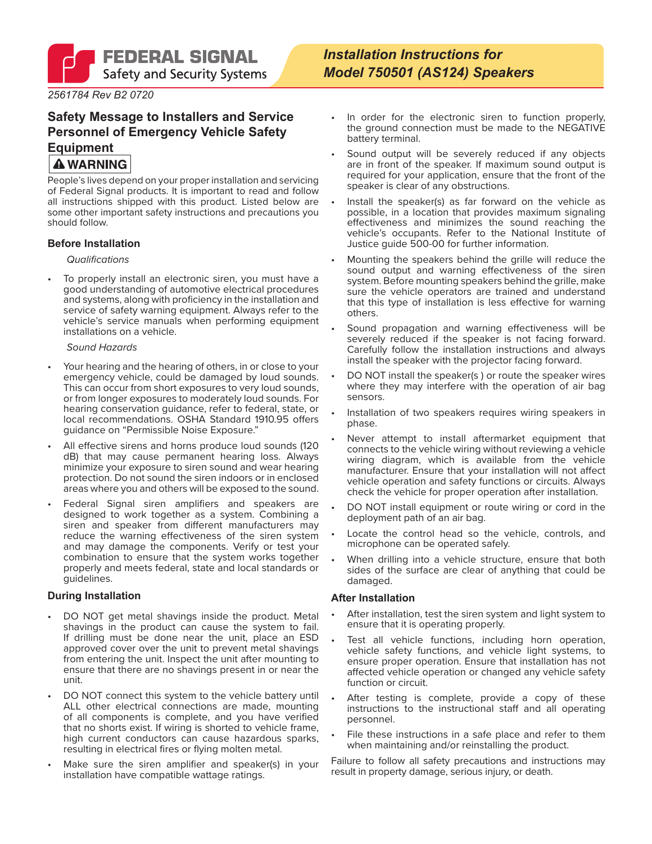*2561784 Rev B2 0720*

## **Safety Message to Installers and Service Personnel of Emergency Vehicle Safety Equipment**

#### **A WARNING**

People's lives depend on your proper installation and servicing of Federal Signal products. It is important to read and follow all instructions shipped with this product. Listed below are some other important safety instructions and precautions you should follow.

#### **Before Installation**

#### *Qualifications*

• To properly install an electronic siren, you must have a good understanding of automotive electrical procedures and systems, along with proficiency in the installation and service of safety warning equipment. Always refer to the vehicle's service manuals when performing equipment installations on a vehicle.

#### *Sound Hazards*

- Your hearing and the hearing of others, in or close to your emergency vehicle, could be damaged by loud sounds. This can occur from short exposures to very loud sounds, or from longer exposures to moderately loud sounds. For hearing conservation guidance, refer to federal, state, or local recommendations. OSHA Standard 1910.95 offers guidance on "Permissible Noise Exposure."
- All effective sirens and horns produce loud sounds (120 dB) that may cause permanent hearing loss. Always minimize your exposure to siren sound and wear hearing protection. Do not sound the siren indoors or in enclosed areas where you and others will be exposed to the sound.
- Federal Signal siren amplifiers and speakers are designed to work together as a system. Combining a siren and speaker from different manufacturers may reduce the warning effectiveness of the siren system and may damage the components. Verify or test your combination to ensure that the system works together properly and meets federal, state and local standards or guidelines.

#### **During Installation**

- DO NOT get metal shavings inside the product. Metal shavings in the product can cause the system to fail. If drilling must be done near the unit, place an ESD approved cover over the unit to prevent metal shavings from entering the unit. Inspect the unit after mounting to ensure that there are no shavings present in or near the unit.
- DO NOT connect this system to the vehicle battery until ALL other electrical connections are made, mounting of all components is complete, and you have verified that no shorts exist. If wiring is shorted to vehicle frame, high current conductors can cause hazardous sparks, resulting in electrical fires or flying molten metal.
- Make sure the siren amplifier and speaker(s) in your installation have compatible wattage ratings.
- In order for the electronic siren to function properly, the ground connection must be made to the NEGATIVE battery terminal.
- Sound output will be severely reduced if any objects are in front of the speaker. If maximum sound output is required for your application, ensure that the front of the speaker is clear of any obstructions.
- Install the speaker(s) as far forward on the vehicle as possible, in a location that provides maximum signaling effectiveness and minimizes the sound reaching the vehicle's occupants. Refer to the National Institute of Justice guide 500-00 for further information.
- Mounting the speakers behind the grille will reduce the sound output and warning effectiveness of the siren system. Before mounting speakers behind the grille, make sure the vehicle operators are trained and understand that this type of installation is less effective for warning others.
- Sound propagation and warning effectiveness will be severely reduced if the speaker is not facing forward. Carefully follow the installation instructions and always install the speaker with the projector facing forward.
- DO NOT install the speaker(s ) or route the speaker wires where they may interfere with the operation of air bag sensors.
- Installation of two speakers requires wiring speakers in phase.
- Never attempt to install aftermarket equipment that connects to the vehicle wiring without reviewing a vehicle wiring diagram, which is available from the vehicle manufacturer. Ensure that your installation will not affect vehicle operation and safety functions or circuits. Always check the vehicle for proper operation after installation.
- DO NOT install equipment or route wiring or cord in the deployment path of an air bag.
- Locate the control head so the vehicle, controls, and microphone can be operated safely.
- When drilling into a vehicle structure, ensure that both sides of the surface are clear of anything that could be damaged.

#### **After Installation**

- After installation, test the siren system and light system to ensure that it is operating properly.
- Test all vehicle functions, including horn operation, vehicle safety functions, and vehicle light systems, to ensure proper operation. Ensure that installation has not affected vehicle operation or changed any vehicle safety function or circuit.
- After testing is complete, provide a copy of these instructions to the instructional staff and all operating personnel.
- File these instructions in a safe place and refer to them when maintaining and/or reinstalling the product.

Failure to follow all safety precautions and instructions may result in property damage, serious injury, or death.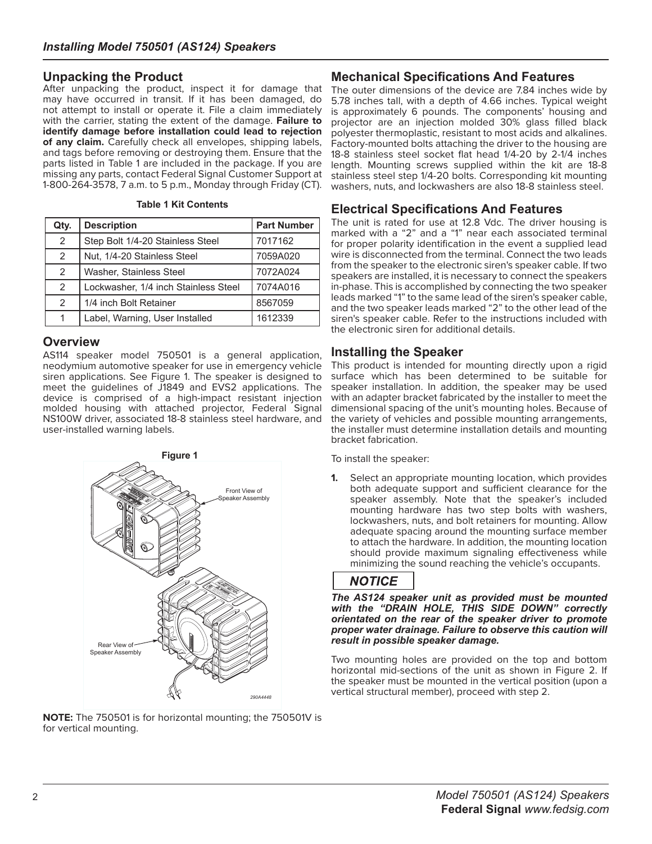## **Unpacking the Product**

After unpacking the product, inspect it for damage that may have occurred in transit. If it has been damaged, do not attempt to install or operate it. File a claim immediately with the carrier, stating the extent of the damage. **Failure to identify damage before installation could lead to rejection of any claim.** Carefully check all envelopes, shipping labels, and tags before removing or destroying them. Ensure that the parts listed in Table 1 are included in the package. If you are missing any parts, contact Federal Signal Customer Support at 1-800-264-3578, 7 a.m. to 5 p.m., Monday through Friday (CT).

| <b>Table 1 Kit Contents</b> |  |
|-----------------------------|--|
|-----------------------------|--|

| Qty.           | <b>Description</b>                   | <b>Part Number</b> |
|----------------|--------------------------------------|--------------------|
| $\mathcal{P}$  | Step Bolt 1/4-20 Stainless Steel     | 7017162            |
| $\mathcal{P}$  | Nut, 1/4-20 Stainless Steel          | 7059A020           |
| 2              | Washer, Stainless Steel              | 7072A024           |
| $\mathcal{P}$  | Lockwasher, 1/4 inch Stainless Steel | 7074A016           |
| $\mathfrak{D}$ | 1/4 inch Bolt Retainer               | 8567059            |
|                | Label, Warning, User Installed       | 1612339            |

## **Overview**

AS114 speaker model 750501 is a general application, neodymium automotive speaker for use in emergency vehicle siren applications. See Figure 1. The speaker is designed to meet the guidelines of J1849 and EVS2 applications. The device is comprised of a high-impact resistant injection molded housing with attached projector, Federal Signal NS100W driver, associated 18-8 stainless steel hardware, and user-installed warning labels.



**NOTE:** The 750501 is for horizontal mounting; the 750501V is for vertical mounting.

## **Mechanical Specifications And Features**

The outer dimensions of the device are 7.84 inches wide by 5.78 inches tall, with a depth of 4.66 inches. Typical weight is approximately 6 pounds. The components' housing and projector are an injection molded 30% glass filled black polyester thermoplastic, resistant to most acids and alkalines. Factory-mounted bolts attaching the driver to the housing are 18-8 stainless steel socket flat head 1/4-20 by 2-1/4 inches length. Mounting screws supplied within the kit are 18-8 stainless steel step 1/4-20 bolts. Corresponding kit mounting washers, nuts, and lockwashers are also 18-8 stainless steel.

## **Electrical Specifications And Features**

The unit is rated for use at 12.8 Vdc. The driver housing is marked with a "2" and a "1" near each associated terminal for proper polarity identification in the event a supplied lead wire is disconnected from the terminal. Connect the two leads from the speaker to the electronic siren's speaker cable. If two speakers are installed, it is necessary to connect the speakers in-phase. This is accomplished by connecting the two speaker leads marked "1" to the same lead of the siren's speaker cable, and the two speaker leads marked "2" to the other lead of the siren's speaker cable. Refer to the instructions included with the electronic siren for additional details.

#### **Installing the Speaker**

This product is intended for mounting directly upon a rigid surface which has been determined to be suitable for speaker installation. In addition, the speaker may be used with an adapter bracket fabricated by the installer to meet the dimensional spacing of the unit's mounting holes. Because of the variety of vehicles and possible mounting arrangements, the installer must determine installation details and mounting bracket fabrication.

To install the speaker:

**1.** Select an appropriate mounting location, which provides both adequate support and sufficient clearance for the speaker assembly. Note that the speaker's included mounting hardware has two step bolts with washers, lockwashers, nuts, and bolt retainers for mounting. Allow adequate spacing around the mounting surface member to attach the hardware. In addition, the mounting location should provide maximum signaling effectiveness while minimizing the sound reaching the vehicle's occupants.

## **NOTICE**

*The AS124 speaker unit as provided must be mounted with the "DRAIN HOLE, THIS SIDE DOWN" correctly orientated on the rear of the speaker driver to promote proper water drainage. Failure to observe this caution will result in possible speaker damage.* 

Two mounting holes are provided on the top and bottom horizontal mid-sections of the unit as shown in Figure 2. If the speaker must be mounted in the vertical position (upon a vertical structural member), proceed with step 2.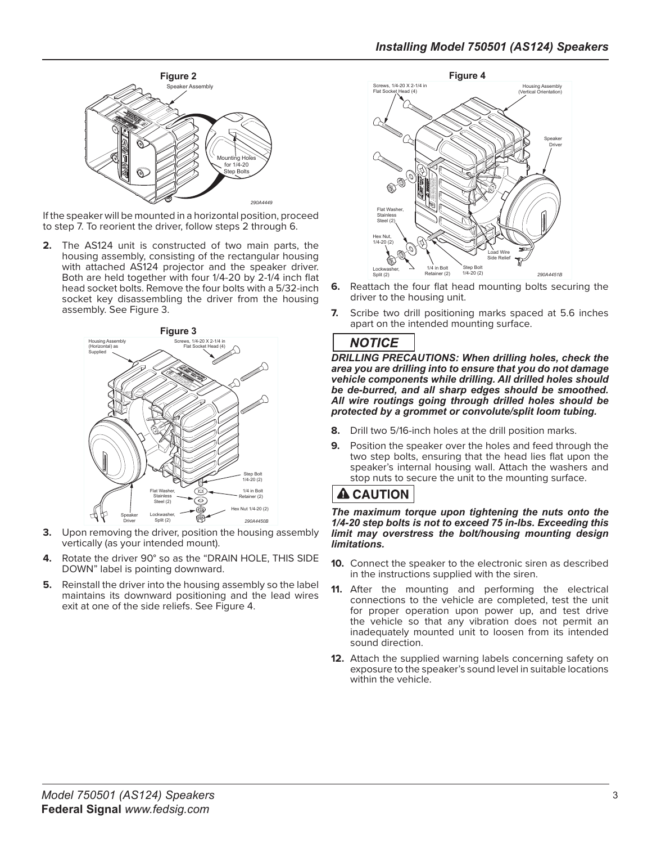

If the speaker will be mounted in a horizontal position, proceed to step 7. To reorient the driver, follow steps 2 through 6.

**2.** The AS124 unit is constructed of two main parts, the housing assembly, consisting of the rectangular housing with attached AS124 projector and the speaker driver. Both are held together with four 1/4-20 by 2-1/4 inch flat head socket bolts. Remove the four bolts with a 5/32-inch socket key disassembling the driver from the housing assembly. See Figure 3.



- **3.** Upon removing the driver, position the housing assembly vertically (as your intended mount).
- **4.** Rotate the driver 90° so as the "DRAIN HOLE, THIS SIDE DOWN" label is pointing downward.
- **5.** Reinstall the driver into the housing assembly so the label maintains its downward positioning and the lead wires exit at one of the side reliefs. See Figure 4.



- **6.** Reattach the four flat head mounting bolts securing the driver to the housing unit.
- **7.** Scribe two drill positioning marks spaced at 5.6 inches apart on the intended mounting surface.

# **NOTICE**

*DRILLING PRECAUTIONS: When drilling holes, check the area you are drilling into to ensure that you do not damage vehicle components while drilling. All drilled holes should be de-burred, and all sharp edges should be smoothed. All wire routings going through drilled holes should be protected by a grommet or convolute/split loom tubing.*

- **8.** Drill two 5/16-inch holes at the drill position marks.
- **9.** Position the speaker over the holes and feed through the two step bolts, ensuring that the head lies flat upon the speaker's internal housing wall. Attach the washers and stop nuts to secure the unit to the mounting surface.

# **A CAUTION**

*The maximum torque upon tightening the nuts onto the 1/4-20 step bolts is not to exceed 75 in-lbs. Exceeding this limit may overstress the bolt/housing mounting design limitations.*

- **10.** Connect the speaker to the electronic siren as described in the instructions supplied with the siren.
- **11.** After the mounting and performing the electrical connections to the vehicle are completed, test the unit for proper operation upon power up, and test drive the vehicle so that any vibration does not permit an inadequately mounted unit to loosen from its intended sound direction.
- **12.** Attach the supplied warning labels concerning safety on exposure to the speaker's sound level in suitable locations within the vehicle.